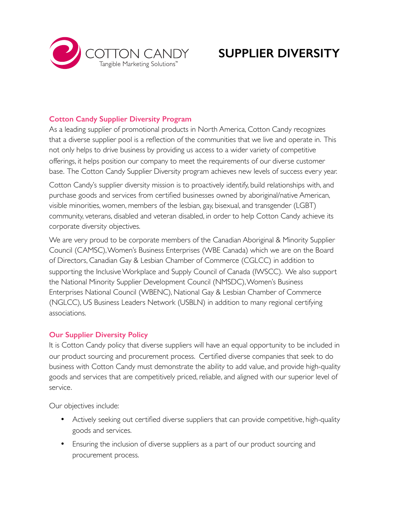

# **SUPPLIER DIVERSITY**

### **Cotton Candy Supplier Diversity Program**

As a leading supplier of promotional products in North America, Cotton Candy recognizes that a diverse supplier pool is a reflection of the communities that we live and operate in. This not only helps to drive business by providing us access to a wider variety of competitive offerings, it helps position our company to meet the requirements of our diverse customer base. The Cotton Candy Supplier Diversity program achieves new levels of success every year.

Cotton Candy's supplier diversity mission is to proactively identify, build relationships with, and purchase goods and services from certified businesses owned by aboriginal/native American, visible minorities, women, members of the lesbian, gay, bisexual, and transgender (LGBT) community, veterans, disabled and veteran disabled, in order to help Cotton Candy achieve its corporate diversity objectives.

We are very proud to be corporate members of the Canadian Aboriginal & Minority Supplier Council (CAMSC), Women's Business Enterprises (WBE Canada) which we are on the Board of Directors, Canadian Gay & Lesbian Chamber of Commerce (CGLCC) in addition to supporting the Inclusive Workplace and Supply Council of Canada (IWSCC). We also support the National Minority Supplier Development Council (NMSDC), Women's Business Enterprises National Council (WBENC), National Gay & Lesbian Chamber of Commerce (NGLCC), US Business Leaders Network (USBLN) in addition to many regional certifying associations.

#### **Our Supplier Diversity Policy**

It is Cotton Candy policy that diverse suppliers will have an equal opportunity to be included in our product sourcing and procurement process. Certified diverse companies that seek to do business with Cotton Candy must demonstrate the ability to add value, and provide high-quality goods and services that are competitively priced, reliable, and aligned with our superior level of service.

Our objectives include:

- Actively seeking out certified diverse suppliers that can provide competitive, high-quality goods and services.
- Ensuring the inclusion of diverse suppliers as a part of our product sourcing and procurement process.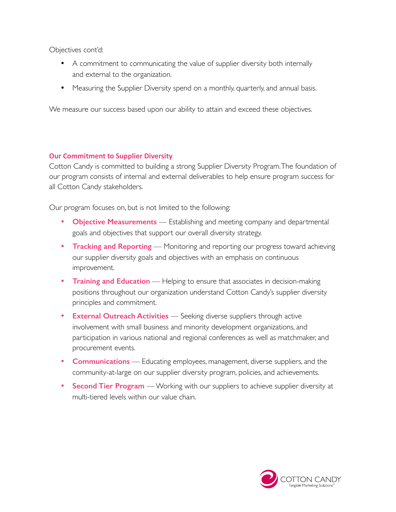Objectives cont'd:

- A commitment to communicating the value of supplier diversity both internally and external to the organization.
- Measuring the Supplier Diversity spend on a monthly, quarterly, and annual basis.

We measure our success based upon our ability to attain and exceed these objectives.

#### **Our Commitment to Supplier Diversity**

Cotton Candy is committed to building a strong Supplier Diversity Program. The foundation of our program consists of internal and external deliverables to help ensure program success for all Cotton Candy stakeholders.

Our program focuses on, but is not limited to the following:

- **Objective Measurements** Establishing and meeting company and departmental goals and objectives that support our overall diversity strategy.
- **Tracking and Reporting** Monitoring and reporting our progress toward achieving our supplier diversity goals and objectives with an emphasis on continuous improvement.
- **Training and Education** Helping to ensure that associates in decision-making positions throughout our organization understand Cotton Candy's supplier diversity principles and commitment.
- **External Outreach Activities** Seeking diverse suppliers through active involvement with small business and minority development organizations, and participation in various national and regional conferences as well as matchmaker, and procurement events.
- **Communications** Educating employees, management, diverse suppliers, and the community-at-large on our supplier diversity program, policies, and achievements.
- **Second Tier Program** Working with our suppliers to achieve supplier diversity at multi-tiered levels within our value chain.